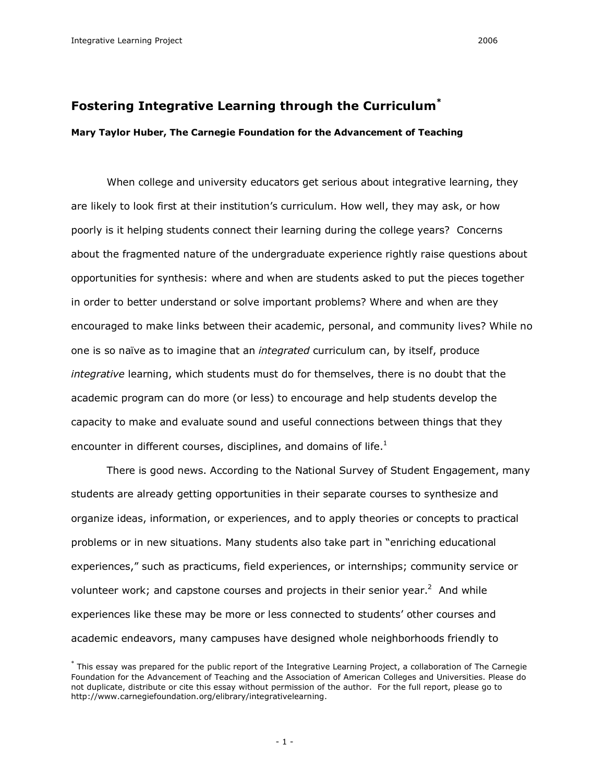# **Fostering Integrative Learning through the Curriculum \***

# **Mary Taylor Huber, The Carnegie Foundation for the Advancement of Teaching**

When college and university educators get serious about integrative learning, they are likely to look first at their institution's curriculum. How well, they may ask, or how poorly is it helping students connect their learning during the college years? Concerns about the fragmented nature of the undergraduate experience rightly raise questions about opportunities for synthesis: where and when are students asked to put the pieces together in order to better understand or solve important problems? Where and when are they encouraged to make links between their academic, personal, and community lives? While no one is so naïve as to imagine that an *integrated* curriculum can, by itself, produce *integrative* learning, which students must do for themselves, there is no doubt that the academic program can do more (or less) to encourage and help students develop the capacity to make and evaluate sound and useful connections between things that they encounter in different courses, disciplines, and domains of life. $<sup>1</sup>$ </sup>

There is good news. According to the National Survey of Student Engagement, many students are already getting opportunities in their separate courses to synthesize and organize ideas, information, or experiences, and to apply theories or concepts to practical problems or in new situations. Many students also take part in "enriching educational experiences," such as practicums, field experiences, or internships; community service or volunteer work; and capstone courses and projects in their senior year. $<sup>2</sup>$  And while</sup> experiences like these may be more or less connected to students' other courses and academic endeavors, many campuses have designed whole neighborhoods friendly to

<sup>\*</sup> This essay was prepared for the public report of the Integrative Learning Project, a collaboration of The Carnegie Foundation for the Advancement of Teaching and the Association of American Colleges and Universities. Please do not duplicate, distribute or cite this essay without permission of the author. For the full report, please go to http://www.carnegiefoundation.org/elibrary/integrativelearning.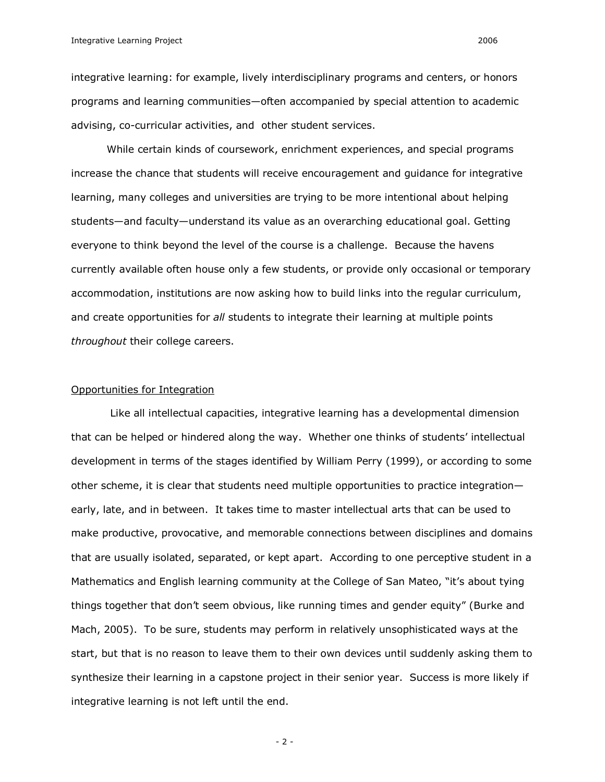integrative learning: for example, lively interdisciplinary programs and centers, or honors programs and learning communities—often accompanied by special attention to academic advising, co-curricular activities, and other student services.

While certain kinds of coursework, enrichment experiences, and special programs increase the chance that students will receive encouragement and guidance for integrative learning, many colleges and universities are trying to be more intentional about helping students—and faculty—understand its value as an overarching educational goal. Getting everyone to think beyond the level of the course is a challenge. Because the havens currently available often house only a few students, or provide only occasional or temporary accommodation, institutions are now asking how to build links into the regular curriculum, and create opportunities for *all* students to integrate their learning at multiple points *throughout* their college careers.

#### Opportunities for Integration

Like all intellectual capacities, integrative learning has a developmental dimension that can be helped or hindered along the way. Whether one thinks of students' intellectual development in terms of the stages identified by William Perry (1999), or according to some other scheme, it is clear that students need multiple opportunities to practice integration early, late, and in between. It takes time to master intellectual arts that can be used to make productive, provocative, and memorable connections between disciplines and domains that are usually isolated, separated, or kept apart. According to one perceptive student in a Mathematics and English learning community at the College of San Mateo, "it's about tying things together that don't seem obvious, like running times and gender equity" (Burke and Mach, 2005). To be sure, students may perform in relatively unsophisticated ways at the start, but that is no reason to leave them to their own devices until suddenly asking them to synthesize their learning in a capstone project in their senior year. Success is more likely if integrative learning is not left until the end.

 $-2-$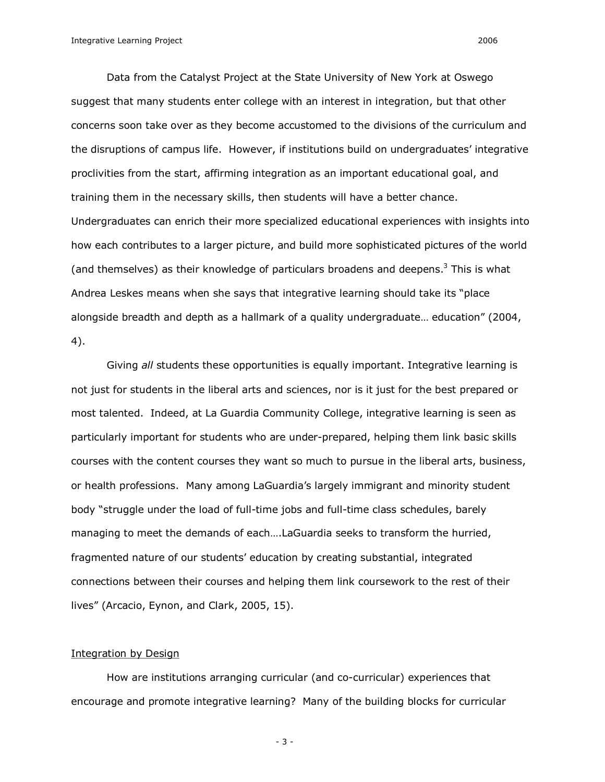Data from the Catalyst Project at the State University of New York at Oswego suggest that many students enter college with an interest in integration, but that other concerns soon take over as they become accustomed to the divisions of the curriculum and the disruptions of campus life. However, if institutions build on undergraduates' integrative proclivities from the start, affirming integration as an important educational goal, and training them in the necessary skills, then students will have a better chance. Undergraduates can enrich their more specialized educational experiences with insights into how each contributes to a larger picture, and build more sophisticated pictures of the world (and themselves) as their knowledge of particulars broadens and deepens. $3$  This is what Andrea Leskes means when she says that integrative learning should take its "place

alongside breadth and depth as a hallmark of a quality undergraduate… education" (2004, 4).

Giving *all* students these opportunities is equally important. Integrative learning is not just for students in the liberal arts and sciences, nor is it just for the best prepared or most talented. Indeed, at La Guardia Community College, integrative learning is seen as particularly important for students who are under-prepared, helping them link basic skills courses with the content courses they want so much to pursue in the liberal arts, business, or health professions. Many among LaGuardia's largely immigrant and minority student body "struggle under the load of full-time jobs and full-time class schedules, barely managing to meet the demands of each….LaGuardia seeks to transform the hurried, fragmented nature of our students' education by creating substantial, integrated connections between their courses and helping them link coursework to the rest of their lives" (Arcacio, Eynon, and Clark, 2005, 15).

### Integration by Design

How are institutions arranging curricular (and co-curricular) experiences that encourage and promote integrative learning? Many of the building blocks for curricular

 $-3-$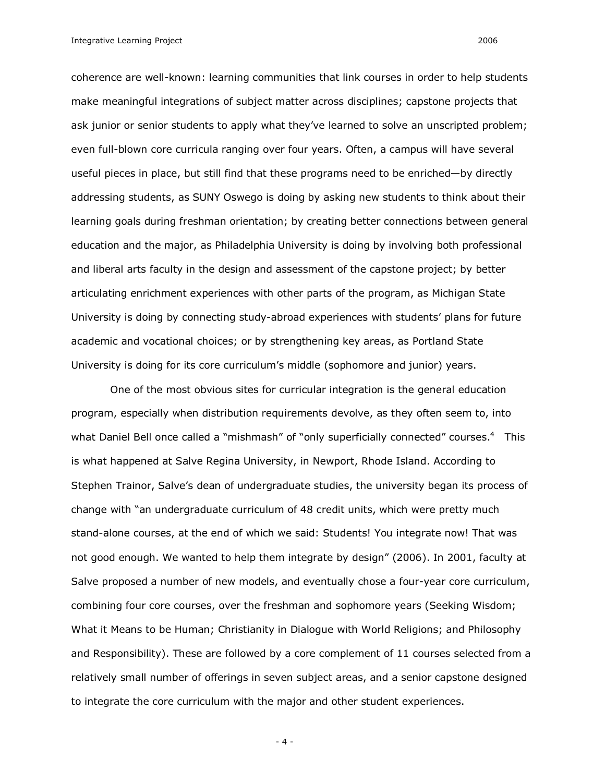Integrative Learning Project 2006

coherence are well-known: learning communities that link courses in order to help students make meaningful integrations of subject matter across disciplines; capstone projects that ask junior or senior students to apply what they've learned to solve an unscripted problem; even full-blown core curricula ranging over four years. Often, a campus will have several useful pieces in place, but still find that these programs need to be enriched—by directly addressing students, as SUNY Oswego is doing by asking new students to think about their learning goals during freshman orientation; by creating better connections between general education and the major, as Philadelphia University is doing by involving both professional and liberal arts faculty in the design and assessment of the capstone project; by better articulating enrichment experiences with other parts of the program, as Michigan State University is doing by connecting study-abroad experiences with students' plans for future academic and vocational choices; or by strengthening key areas, as Portland State University is doing for its core curriculum's middle (sophomore and junior) years.

One of the most obvious sites for curricular integration is the general education program, especially when distribution requirements devolve, as they often seem to, into what Daniel Bell once called a "mishmash" of "only superficially connected" courses.<sup>4</sup> This is what happened at Salve Regina University, in Newport, Rhode Island. According to Stephen Trainor, Salve's dean of undergraduate studies, the university began its process of change with "an undergraduate curriculum of 48 credit units, which were pretty much stand-alone courses, at the end of which we said: Students! You integrate now! That was not good enough. We wanted to help them integrate by design" (2006). In 2001, faculty at Salve proposed a number of new models, and eventually chose a four-year core curriculum, combining four core courses, over the freshman and sophomore years (Seeking Wisdom; What it Means to be Human; Christianity in Dialogue with World Religions; and Philosophy and Responsibility). These are followed by a core complement of 11 courses selected from a relatively small number of offerings in seven subject areas, and a senior capstone designed to integrate the core curriculum with the major and other student experiences.

 $-4-$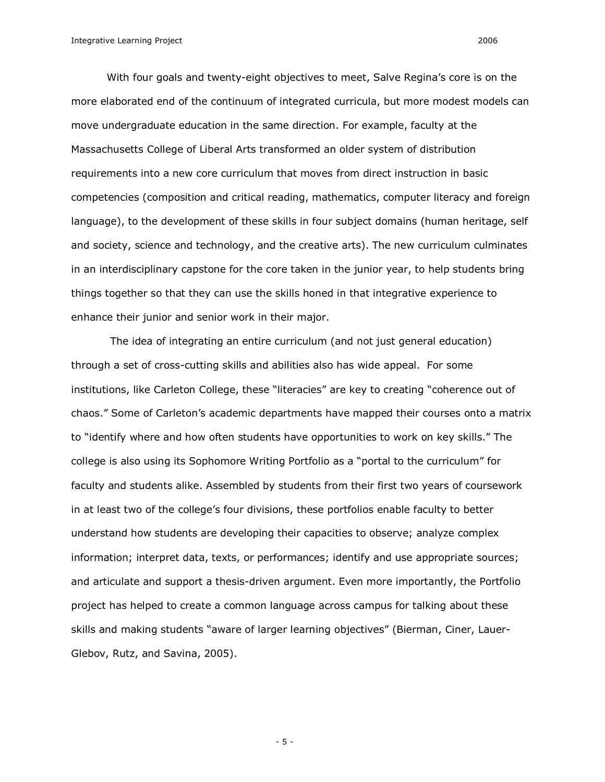With four goals and twenty-eight objectives to meet, Salve Regina's core is on the more elaborated end of the continuum of integrated curricula, but more modest models can move undergraduate education in the same direction. For example, faculty at the Massachusetts College of Liberal Arts transformed an older system of distribution requirements into a new core curriculum that moves from direct instruction in basic competencies (composition and critical reading, mathematics, computer literacy and foreign language), to the development of these skills in four subject domains (human heritage, self and society, science and technology, and the creative arts). The new curriculum culminates in an interdisciplinary capstone for the core taken in the junior year, to help students bring things together so that they can use the skills honed in that integrative experience to enhance their junior and senior work in their major.

The idea of integrating an entire curriculum (and not just general education) through a set of cross-cutting skills and abilities also has wide appeal. For some institutions, like Carleton College, these "literacies" are key to creating "coherence out of chaos." Some of Carleton's academic departments have mapped their courses onto a matrix to "identify where and how often students have opportunities to work on key skills." The college is also using its Sophomore Writing Portfolio as a "portal to the curriculum" for faculty and students alike. Assembled by students from their first two years of coursework in at least two of the college's four divisions, these portfolios enable faculty to better understand how students are developing their capacities to observe; analyze complex information; interpret data, texts, or performances; identify and use appropriate sources; and articulate and support a thesis-driven argument. Even more importantly, the Portfolio project has helped to create a common language across campus for talking about these skills and making students "aware of larger learning objectives" (Bierman, Ciner, Lauer Glebov, Rutz, and Savina, 2005).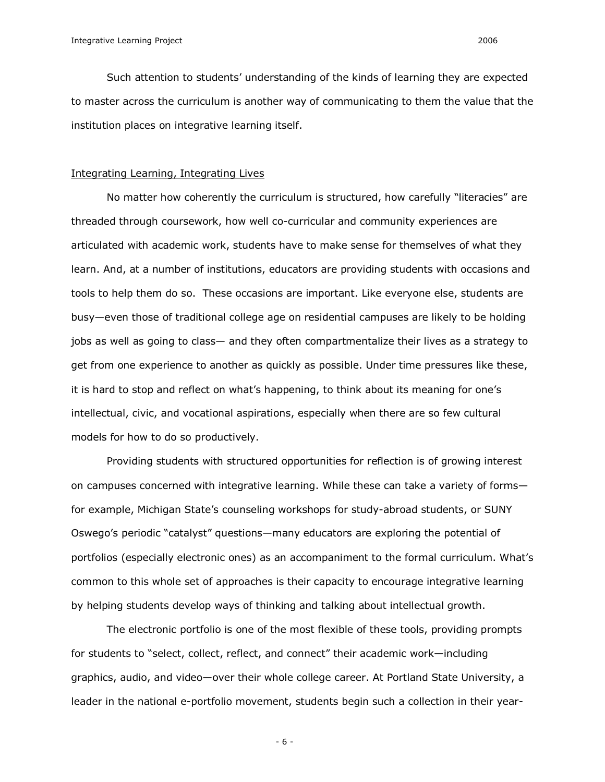Such attention to students' understanding of the kinds of learning they are expected to master across the curriculum is another way of communicating to them the value that the institution places on integrative learning itself.

# Integrating Learning, Integrating Lives

No matter how coherently the curriculum is structured, how carefully "literacies" are threaded through coursework, how well co-curricular and community experiences are articulated with academic work, students have to make sense for themselves of what they learn. And, at a number of institutions, educators are providing students with occasions and tools to help them do so. These occasions are important. Like everyone else, students are busy—even those of traditional college age on residential campuses are likely to be holding jobs as well as going to class— and they often compartmentalize their lives as a strategy to get from one experience to another as quickly as possible. Under time pressures like these, it is hard to stop and reflect on what's happening, to think about its meaning for one's intellectual, civic, and vocational aspirations, especially when there are so few cultural models for how to do so productively.

Providing students with structured opportunities for reflection is of growing interest on campuses concerned with integrative learning. While these can take a variety of forms for example, Michigan State's counseling workshops for study-abroad students, or SUNY Oswego's periodic "catalyst" questions—many educators are exploring the potential of portfolios (especially electronic ones) as an accompaniment to the formal curriculum. What's common to this whole set of approaches is their capacity to encourage integrative learning by helping students develop ways of thinking and talking about intellectual growth.

The electronic portfolio is one of the most flexible of these tools, providing prompts for students to "select, collect, reflect, and connect" their academic work—including graphics, audio, and video—over their whole college career. At Portland State University, a leader in the national e-portfolio movement, students begin such a collection in their year-

 $-6-$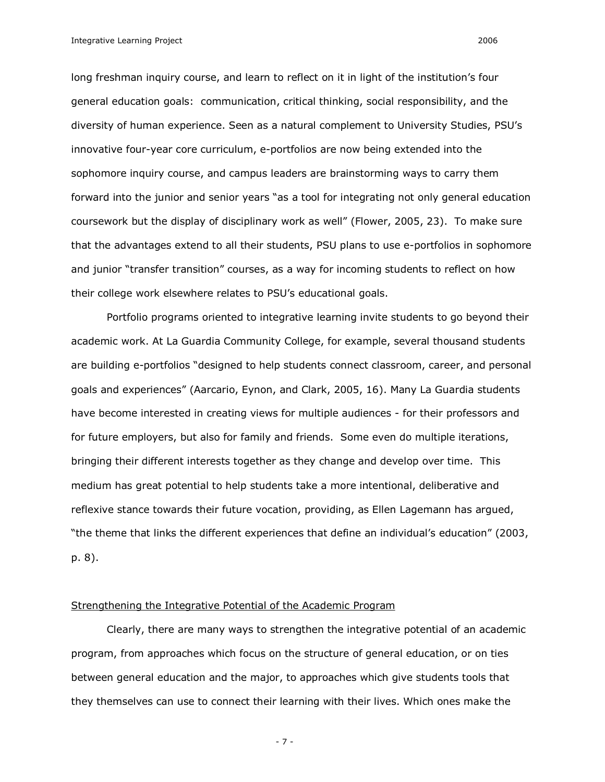Integrative Learning Project 2006

long freshman inquiry course, and learn to reflect on it in light of the institution's four general education goals: communication, critical thinking, social responsibility, and the diversity of human experience. Seen as a natural complement to University Studies, PSU's innovative four-year core curriculum, e-portfolios are now being extended into the sophomore inquiry course, and campus leaders are brainstorming ways to carry them forward into the junior and senior years "as a tool for integrating not only general education coursework but the display of disciplinary work as well" (Flower, 2005, 23). To make sure that the advantages extend to all their students, PSU plans to use e-portfolios in sophomore and junior "transfer transition" courses, as a way for incoming students to reflect on how their college work elsewhere relates to PSU's educational goals.

Portfolio programs oriented to integrative learning invite students to go beyond their academic work. At La Guardia Community College, for example, several thousand students are building e-portfolios "designed to help students connect classroom, career, and personal goals and experiences" (Aarcario, Eynon, and Clark, 2005, 16). Many La Guardia students have become interested in creating views for multiple audiences - for their professors and for future employers, but also for family and friends. Some even do multiple iterations, bringing their different interests together as they change and develop over time. This medium has great potential to help students take a more intentional, deliberative and reflexive stance towards their future vocation, providing, as Ellen Lagemann has argued, "the theme that links the different experiences that define an individual's education" (2003, p. 8).

#### Strengthening the Integrative Potential of the Academic Program

Clearly, there are many ways to strengthen the integrative potential of an academic program, from approaches which focus on the structure of general education, or on ties between general education and the major, to approaches which give students tools that they themselves can use to connect their learning with their lives. Which ones make the

 $-7 -$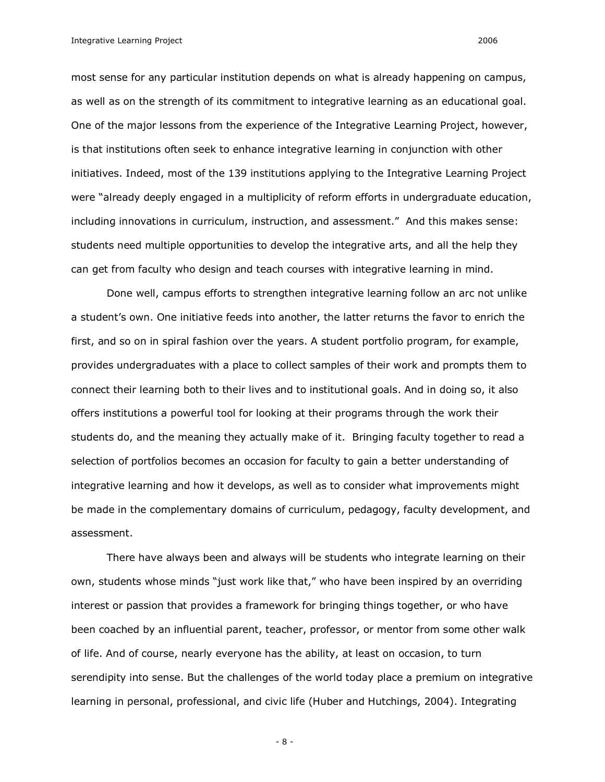Integrative Learning Project 2006

most sense for any particular institution depends on what is already happening on campus, as well as on the strength of its commitment to integrative learning as an educational goal. One of the major lessons from the experience of the Integrative Learning Project, however, is that institutions often seek to enhance integrative learning in conjunction with other initiatives. Indeed, most of the 139 institutions applying to the Integrative Learning Project were "already deeply engaged in a multiplicity of reform efforts in undergraduate education, including innovations in curriculum, instruction, and assessment." And this makes sense: students need multiple opportunities to develop the integrative arts, and all the help they can get from faculty who design and teach courses with integrative learning in mind.

Done well, campus efforts to strengthen integrative learning follow an arc not unlike a student's own. One initiative feeds into another, the latter returns the favor to enrich the first, and so on in spiral fashion over the years. A student portfolio program, for example, provides undergraduates with a place to collect samples of their work and prompts them to connect their learning both to their lives and to institutional goals. And in doing so, it also offers institutions a powerful tool for looking at their programs through the work their students do, and the meaning they actually make of it. Bringing faculty together to read a selection of portfolios becomes an occasion for faculty to gain a better understanding of integrative learning and how it develops, as well as to consider what improvements might be made in the complementary domains of curriculum, pedagogy, faculty development, and assessment.

There have always been and always will be students who integrate learning on their own, students whose minds "just work like that," who have been inspired by an overriding interest or passion that provides a framework for bringing things together, or who have been coached by an influential parent, teacher, professor, or mentor from some other walk of life. And of course, nearly everyone has the ability, at least on occasion, to turn serendipity into sense. But the challenges of the world today place a premium on integrative learning in personal, professional, and civic life (Huber and Hutchings, 2004). Integrating

 $-8-$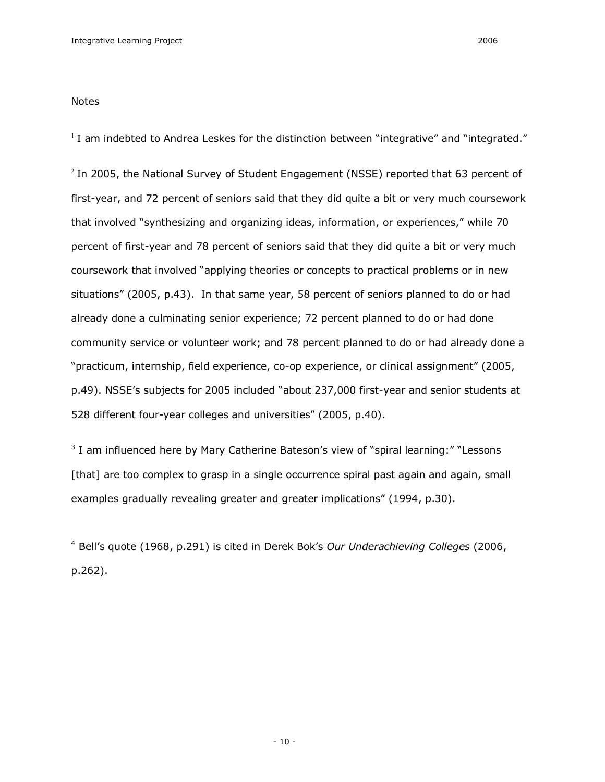Notes

 $1$  I am indebted to Andrea Leskes for the distinction between "integrative" and "integrated."

 $2$  In 2005, the National Survey of Student Engagement (NSSE) reported that 63 percent of first-year, and 72 percent of seniors said that they did quite a bit or very much coursework that involved "synthesizing and organizing ideas, information, or experiences," while 70 percent of first-year and 78 percent of seniors said that they did quite a bit or very much coursework that involved "applying theories or concepts to practical problems or in new situations" (2005, p.43). In that same year, 58 percent of seniors planned to do or had already done a culminating senior experience; 72 percent planned to do or had done community service or volunteer work; and 78 percent planned to do or had already done a "practicum, internship, field experience, co-op experience, or clinical assignment" (2005, p.49). NSSE's subjects for 2005 included "about 237,000 first-year and senior students at 528 different four-year colleges and universities" (2005, p.40).

 $3$  I am influenced here by Mary Catherine Bateson's view of "spiral learning:" "Lessons [that] are too complex to grasp in a single occurrence spiral past again and again, small examples gradually revealing greater and greater implications" (1994, p.30).

<sup>4</sup>Bell's quote (1968, p.291) is cited in Derek Bok's *Our Underachieving Colleges* (2006, p.262).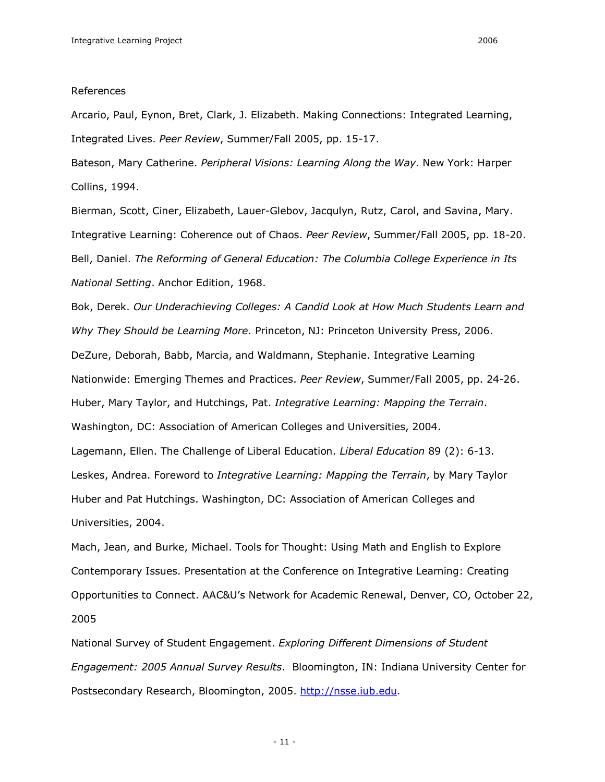#### References

Arcario, Paul, Eynon, Bret, Clark, J. Elizabeth. Making Connections: Integrated Learning, Integrated Lives. Peer Review, Summer/Fall 2005, pp. 15-17.

Bateson, Mary Catherine. *Peripheral Visions: Learning Along the Way*. New York: Harper Collins, 1994.

Bierman, Scott, Ciner, Elizabeth, Lauer-Glebov, Jacqulyn, Rutz, Carol, and Savina, Mary. Integrative Learning: Coherence out of Chaos. Peer Review, Summer/Fall 2005, pp. 18-20. Bell, Daniel. *The Reforming of General Education: The Columbia College Experience in Its National Setting*. Anchor Edition, 1968.

Bok, Derek. *Our Underachieving Colleges: A Candid Look at How Much Students Learn and Why They Should be Learning More*. Princeton, NJ: Princeton University Press, 2006. DeZure, Deborah, Babb, Marcia, and Waldmann, Stephanie. Integrative Learning Nationwide: Emerging Themes and Practices. Peer Review, Summer/Fall 2005, pp. 24-26. Huber, Mary Taylor, and Hutchings, Pat. *Integrative Learning: Mapping the Terrain*. Washington, DC: Association of American Colleges and Universities, 2004. Lagemann, Ellen. The Challenge of Liberal Education. *Liberal Education* 89 (2): 613. Leskes, Andrea. Foreword to *Integrative Learning: Mapping the Terrain*, by Mary Taylor Huber and Pat Hutchings. Washington, DC: Association of American Colleges and Universities, 2004.

Mach, Jean, and Burke, Michael. Tools for Thought: Using Math and English to Explore Contemporary Issues. Presentation at the Conference on Integrative Learning: Creating Opportunities to Connect. AAC&U's Network for Academic Renewal, Denver, CO, October 22, 2005

National Survey of Student Engagement. *Exploring Different Dimensions of Student Engagement: 2005 Annual Survey Results*. Bloomington, IN: Indiana University Center for Postsecondary Research, Bloomington, 2005. [http://nsse.iub.edu.](http://nsse.iub.edu)

 $-11-$